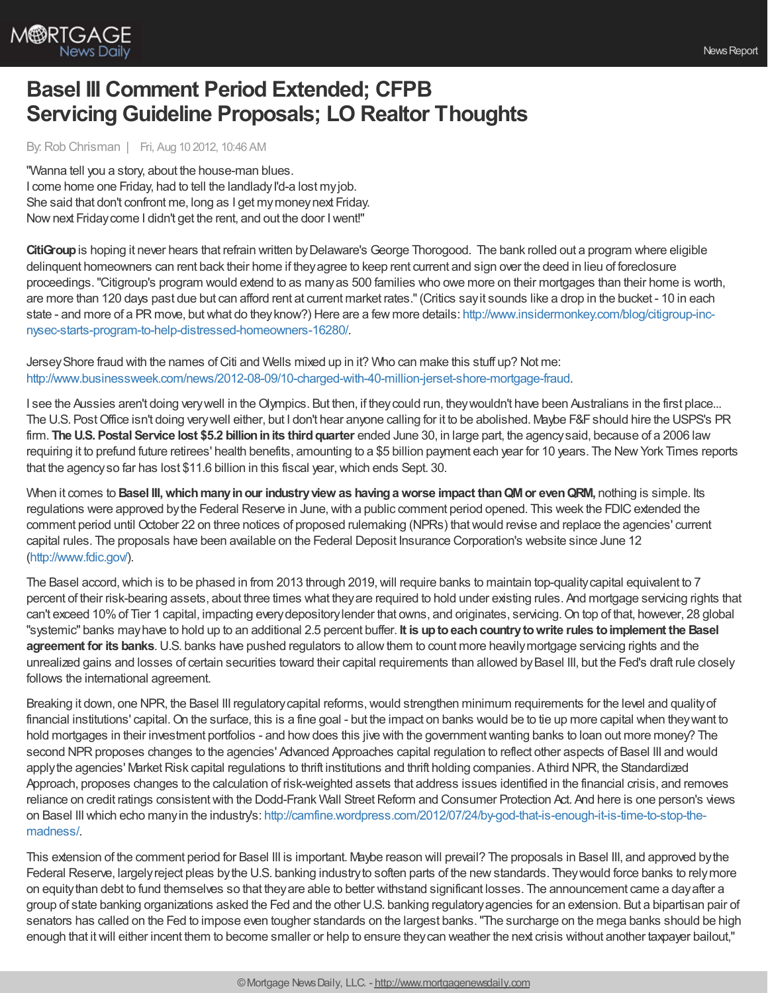

## **Basel III Comment Period Extended; CFPB Servicing Guideline Proposals; LO Realtor Thoughts**

By:Rob Chrisman | Fri, Aug 10 2012, 10:46 AM

"Wanna tell you a story, about the house-man blues. I come home one Friday, had to tell the landlady I'd-a lost my job. She said that don't confront me, long as I get mymoneynext Friday. Now next Friday come I didn't get the rent, and out the door I went!"

CitiGroup is hoping it never hears that refrain written by Delaware's George Thorogood. The bank rolled out a program where eligible delinquent homeowners can rent back their home if they agree to keep rent current and sign over the deed in lieu of foreclosure proceedings."Citigroup's program would extend to as manyas 500 families who owe more on their mortgages than their home is worth, are more than 120 days past due but can afford rent at current market rates."(Critics sayit sounds like a drop in the bucket - 10 in each state - and more of a PR move, butwhat do theyknow?) Here are a few more details: http://www.insidermonkey.com/blog/citigroup-inc[nysec-starts-program-to-help-distressed-homeowners-16280/.](http://www.insidermonkey.com/blog/citigroup-inc-nysec-starts-program-to-help-distressed-homeowners-16280/)

JerseyShore fraud with the names ofCiti and Wells mixed up in it? Who can make this stuff up? Not me: <http://www.businessweek.com/news/2012-08-09/10-charged-with-40-million-jerset-shore-mortgage-fraud>.

I see the Aussies aren't doing very well in the Olympics. But then, if they could run, they wouldn't have been Australians in the first place... The U.S. PostOffice isn't doing verywell either, but I don't hear anyone calling for it to be abolished. Maybe F&Fshould hire the USPS's PR firm. **The U.S. Postal Service lost \$5.2 billioninits thirdquarter** ended June 30, in large part, the agencysaid, because of a 2006 law requiring it to prefund future retirees' health benefits, amounting to a \$5 billion payment each year for 10 years. The NewYork Times reports that the agency so far has lost \$11.6 billion in this fiscal year, which ends Sept. 30.

When it comes to **Basel III,whichmanyinour industryview as havingaworse impact thanQMor evenQRM,** nothing is simple. Its regulations were approved by the Federal Reserve in June, with a public comment period opened. This week the FDIC extended the comment period until October 22 on three notices of proposed rulemaking (NPRs) thatwould revise and replace the agencies' current capital rules. The proposals have been available on the Federal Deposit Insurance Corporation's website since June 12 [\(http://www.fdic.gov/](http://www.fdic.gov/)).

The Basel accord, which is to be phased in from 2013 through 2019, will require banks to maintain top-quality capital equivalent to 7 percent of their risk-bearing assets, about three times what theyare required to hold under existing rules. And mortgage servicing rights that can't exceed 10%of Tier 1 capital, impacting everydepositorylender that owns, and originates, servicing.On top of that, however, 28 global "systemic" banks mayhave to hold up to an additional 2.5 percent buffer. **It is uptoeachcountrytowrite rules toimplement the Basel agreement for its banks**.U.S. banks have pushed regulators to allowthem to count more heavilymortgage servicing rights and the unrealized gains and losses of certain securities toward their capital requirements than allowed byBasel III, but the Fed's draft rule closely follows the international agreement.

Breaking it down, one NPR, the Basel III regulatory capital reforms, would strengthen minimum requirements for the level and quality of financial institutions' capital.On the surface, this is a fine goal - but the impact on banks would be to tie up more capital when theywant to hold mortgages in their investment portfolios - and how does this jive with the government wanting banks to loan out more money? The second NPR proposes changes to the agencies' Advanced Approaches capital regulation to reflect other aspects of Basel III and would apply the agencies' Market Risk capital regulations to thrift institutions and thrift holding companies. Athird NPR, the Standardized Approach, proposes changes to the calculation of risk-weighted assets that address issues identified in the financial crisis, and removes reliance on credit ratings consistent with the Dodd-Frank Wall Street Reform and Consumer Protection Act. And here is one person's views on Basel IIIwhich echo manyin the industry's: [http://camfine.wordpress.com/2012/07/24/by-god-that-is-enough-it-is-time-to-stop-the](http://camfine.wordpress.com/2012/07/24/by-god-that-is-enough-it-is-time-to-stop-the-madness/)madness/.

This extension of the comment period for Basel III is important. Maybe reason will prevail? The proposals in Basel III, and approved bythe Federal Reserve, largelyreject pleas bythe U.S. banking industryto soften parts of the newstandards. Theywould force banks to relymore on equitythan debt to fund themselves so that theyare able to better withstand significant losses. The announcement came a dayafter a group of state banking organizations asked the Fed and the other U.S. banking regulatoryagencies for an extension. But a bipartisan pair of senators has called on the Fed to impose even tougher standards on the largest banks."The surcharge on the mega banks should be high enough that itwill either incent them to become smaller or help to ensure theycan weather the next crisis without another taxpayer bailout,"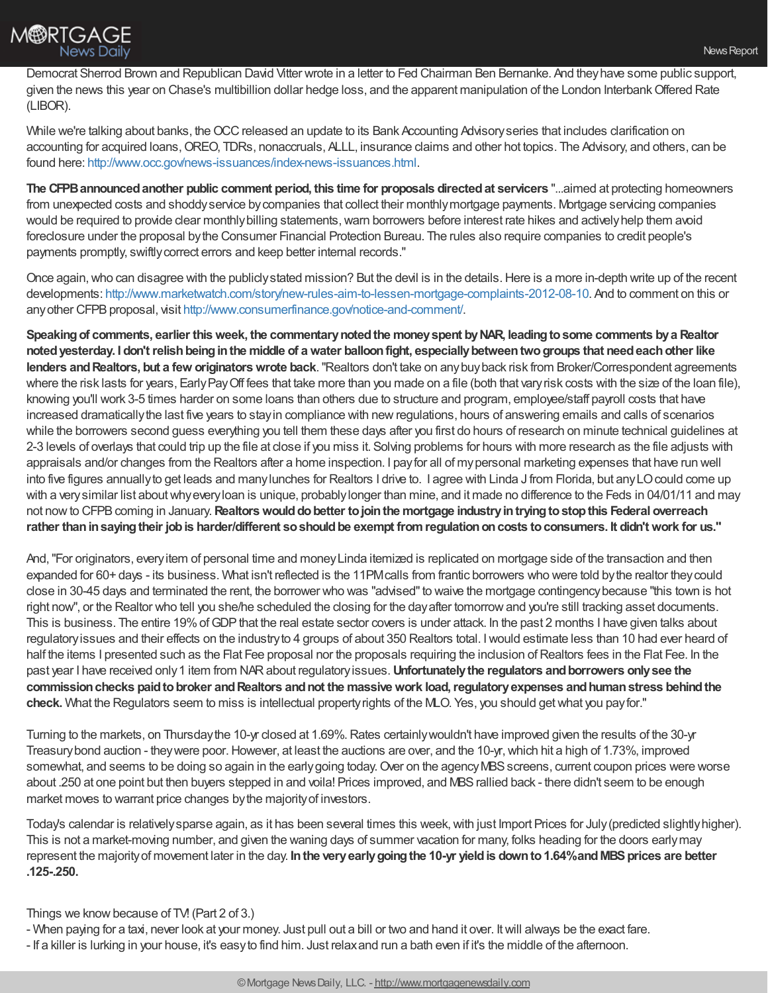

Democrat Sherrod Brown and Republican David Vitter wrote in a letter to Fed Chairman Ben Bernanke. And theyhave some public support, given the news this year on Chase's multibillion dollar hedge loss, and the apparent manipulation of the London Interbank Offered Rate (LIBOR).

While we're talking about banks, the OCC released an update to its Bank Accounting Advisory series that includes clarification on accounting for acquired loans,OREO, TDRs, nonaccruals, ALLL, insurance claims and other hot topics. The Advisory, and others, can be found here: <http://www.occ.gov/news-issuances/index-news-issuances.html>.

**The CFPBannouncedanother public comment period, this time for proposals directedat servicers** "...aimed at protecting homeowners from unexpected costs and shoddyservice bycompanies that collect their monthlymortgage payments. Mortgage servicing companies would be required to provide clear monthly billing statements, warn borrowers before interest rate hikes and actively help them avoid foreclosure under the proposal bythe Consumer Financial Protection Bureau. The rules also require companies to credit people's payments promptly, swiftly correct errors and keep better internal records."

Once again, who can disagree with the publicly stated mission? But the devil is in the details. Here is a more in-depth write up of the recent developments: [http://www.marketwatch.com/story/new-rules-aim-to-lessen-mortgage-complaints-2012-08-10.](http://www.marketwatch.com/story/new-rules-aim-to-lessen-mortgage-complaints-2012-08-10) And to comment on this or any other CFPB proposal, visit <http://www.consumerfinance.gov/notice-and-comment/>.

**Speakingof comments, earlier thisweek, the commentarynotedthe moneyspent byNAR, leadingtosome comments bya Realtor notedyesterday. I don'trelishbeinginthe middle of awater balloonfight, especiallybetweentwogroups that needeachother like** lenders and Realtors, but a few originators wrote back. "Realtors don't take on any buy back risk from Broker/Correspondent agreements where the risk lasts for years, EarlyPayOff fees that take more than you made on a file (both that varyrisk costs with the size of the loan file), knowing you'll work 3-5 times harder on some loans than others due to structure and program, employee/staff payroll costs that have increased dramaticallythe last five years to stayin compliance with newregulations, hours of answering emails and calls of scenarios while the borrowers second guess everything you tell them these days after you first do hours of research on minute technical guidelines at 2-3 levels of overlays that could trip up the file at close if you miss it. Solving problems for hours with more research as the file adjusts with appraisals and/or changes from the Realtors after a home inspection. I payfor all of mypersonal marketing expenses that have run well into five figures annuallyto get leads and manylunches for Realtors I drive to. I agree with Linda J from Florida, but anyLOcould come up with a very similar list about why every loan is unique, probably longer than mine, and it made no difference to the Feds in 04/01/11 and may not nowto CFPBcoming in January.**Realtorswoulddobetter tojointhe mortgage industryintryingtostopthis Federal overreach rather thaninsayingtheir jobis harder/different soshouldbe exempt fromregulationoncosts toconsumers. It didn'twork for us."**

And,"For originators, everyitem of personal time and moneyLinda itemized is replicated on mortgage side of the transaction and then expanded for 60+ days - its business. What isn't reflected is the 11PMcalls from frantic borrowers who were told bythe realtor theycould close in 30-45 days and terminated the rent, the borrower who was "advised"to waive the mortgage contingencybecause "this town is hot right now", or the Realtor who tell you she/he scheduled the closing for the dayafter tomorrowand you're still tracking asset documents. This is business. The entire 19% of GDP that the real estate sector covers is under attack. In the past 2 months I have given talks about regulatoryissues and their effects on the industryto 4 groups of about 350 Realtors total. Iwould estimate less than 10 had ever heard of half the items I presented such as the Flat Fee proposal nor the proposals requiring the inclusion of Realtors fees in the Flat Fee. In the past year I have received only1 item from NARabout regulatoryissues.**Unfortunatelythe regulators andborrowers onlysee the commissionchecks paidtobroker andRealtors andnot the massivework load,regulatoryexpenses andhumanstress behindthe check.** What the Regulators seem to miss is intellectual propertyrights of the MLO. Yes, you should getwhat you payfor."

Turning to the markets, on Thursday the 10-yr closed at 1.69%. Rates certainly wouldn't have improved given the results of the 30-yr Treasury bond auction - they were poor. However, at least the auctions are over, and the 10-yr, which hit a high of 1.73%, improved somewhat, and seems to be doing so again in the early going today. Over on the agency MBS screens, current coupon prices were worse about .250 at one point but then buyers stepped in and voila! Prices improved, and MBS rallied back - there didn't seem to be enough market moves to warrant price changes bythe majorityof investors.

Today's calendar is relativelysparse again, as it has been several times this week,with just Import Prices for July(predicted slightlyhigher). This is not a market-moving number, and given the waning days of summer vacation for many, folks heading for the doors earlymay represent the majorityof movement later in the day. **Inthe veryearlygoingthe 10-yr yieldis downto1.64%andMBSprices are better .125-.250.**

Things we know because of TV! (Part 2 of 3.)

- When paying for a taxi, never look at your money. Just pull out a bill or two and hand it over. Itwill always be the exact fare.

- If a killer is lurking in your house, it's easyto find him. Just relaxand run a bath even if it's the middle of the afternoon.